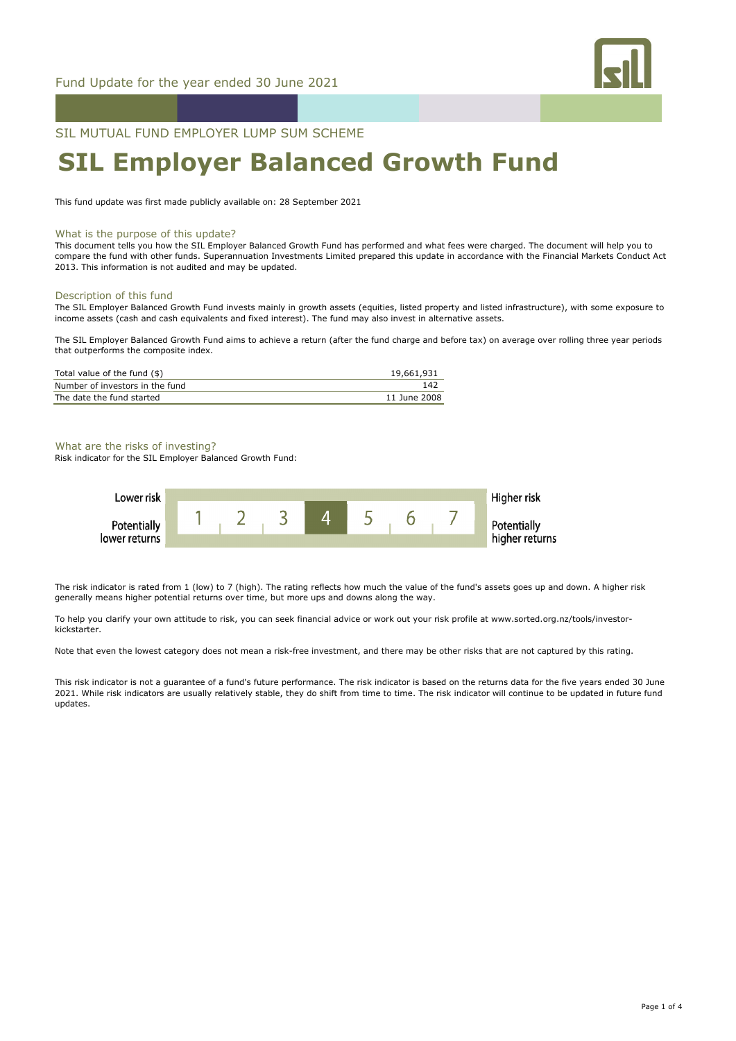

SIL MUTUAL FUND EMPLOYER LUMP SUM SCHEME

# **SIL Employer Balanced Growth Fund**

This fund update was first made publicly available on: 28 September 2021

#### What is the purpose of this update?

This document tells you how the SIL Employer Balanced Growth Fund has performed and what fees were charged. The document will help you to compare the fund with other funds. Superannuation Investments Limited prepared this update in accordance with the Financial Markets Conduct Act 2013. This information is not audited and may be updated.

# Description of this fund

The SIL Employer Balanced Growth Fund invests mainly in growth assets (equities, listed property and listed infrastructure), with some exposure to income assets (cash and cash equivalents and fixed interest). The fund may also invest in alternative assets.

The SIL Employer Balanced Growth Fund aims to achieve a return (after the fund charge and before tax) on average over rolling three year periods that outperforms the composite index.

| Total value of the fund (\$)    | 19,661,931   |
|---------------------------------|--------------|
| Number of investors in the fund | 142          |
| The date the fund started       | 11 June 2008 |

## What are the risks of investing?

Risk indicator for the SIL Employer Balanced Growth Fund:



The risk indicator is rated from 1 (low) to 7 (high). The rating reflects how much the value of the fund's assets goes up and down. A higher risk generally means higher potential returns over time, but more ups and downs along the way.

To help you clarify your own attitude to risk, you can seek financial advice or work out your risk profile at www.sorted.org.nz/tools/investorkickstarter.

Note that even the lowest category does not mean a risk-free investment, and there may be other risks that are not captured by this rating.

This risk indicator is not a guarantee of a fund's future performance. The risk indicator is based on the returns data for the five years ended 30 June 2021. While risk indicators are usually relatively stable, they do shift from time to time. The risk indicator will continue to be updated in future fund updates.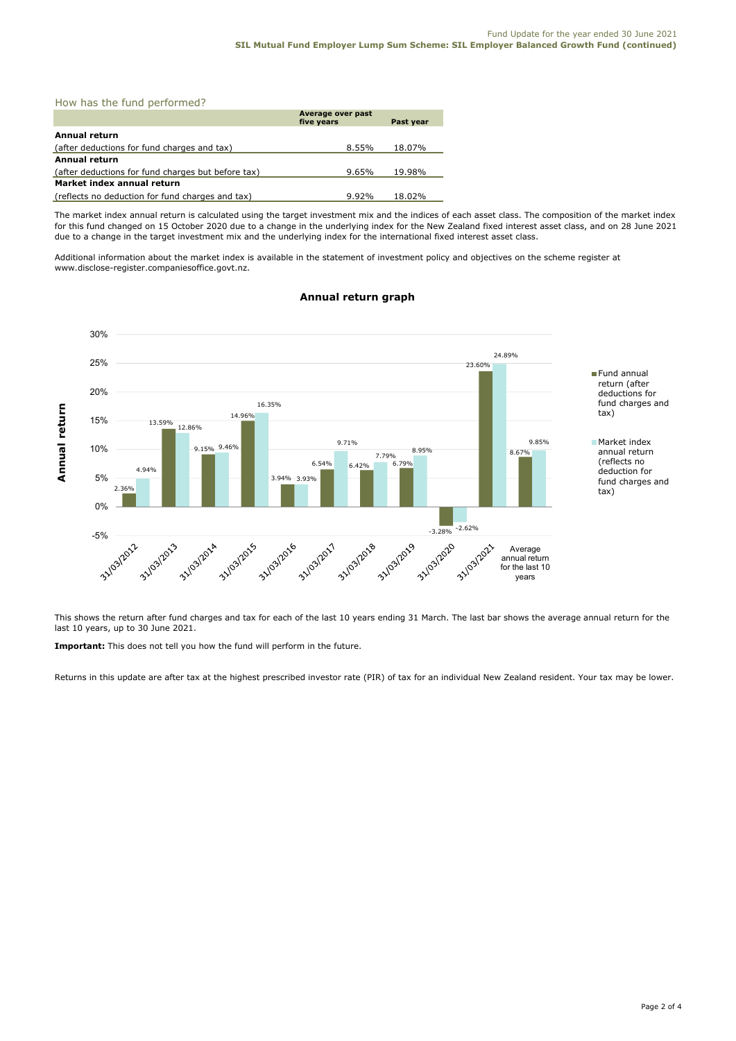How has the fund performed?

|                                                    | Average over past<br>five years | Past year |
|----------------------------------------------------|---------------------------------|-----------|
| Annual return                                      |                                 |           |
| (after deductions for fund charges and tax)        | 8.55%                           | 18.07%    |
| Annual return                                      |                                 |           |
| (after deductions for fund charges but before tax) | 9.65%                           | 19.98%    |
| Market index annual return                         |                                 |           |
| (reflects no deduction for fund charges and tax)   | 9.92%                           | 18.02%    |

The market index annual return is calculated using the target investment mix and the indices of each asset class. The composition of the market index for this fund changed on 15 October 2020 due to a change in the underlying index for the New Zealand fixed interest asset class, and on 28 June 2021 due to a change in the target investment mix and the underlying index for the international fixed interest asset class.

Additional information about the market index is available in the statement of investment policy and objectives on the scheme register at www.disclose-register.companiesoffice.govt.nz.



# **Annual return graph**

This shows the return after fund charges and tax for each of the last 10 years ending 31 March. The last bar shows the average annual return for the last 10 years, up to 30 June 2021.

**Important:** This does not tell you how the fund will perform in the future.

Returns in this update are after tax at the highest prescribed investor rate (PIR) of tax for an individual New Zealand resident. Your tax may be lower.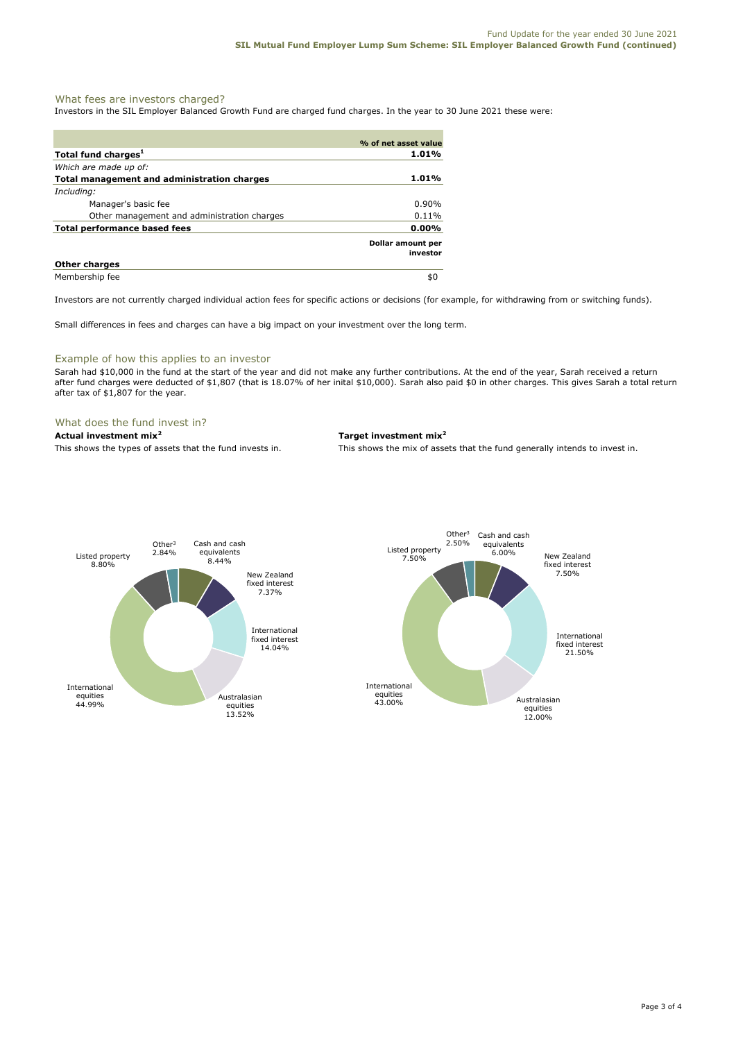# What fees are investors charged?

Investors in the SIL Employer Balanced Growth Fund are charged fund charges. In the year to 30 June 2021 these were:

|                                             | % of net asset value          |
|---------------------------------------------|-------------------------------|
| Total fund charges <sup>1</sup>             | 1.01%                         |
| Which are made up of:                       |                               |
| Total management and administration charges | 1.01%                         |
| Including:                                  |                               |
| Manager's basic fee                         | $0.90\%$                      |
| Other management and administration charges | 0.11%                         |
| <b>Total performance based fees</b>         | $0.00\%$                      |
|                                             | Dollar amount per<br>investor |
| <b>Other charges</b>                        |                               |
| Membership fee                              | \$0                           |

Investors are not currently charged individual action fees for specific actions or decisions (for example, for withdrawing from or switching funds).

Small differences in fees and charges can have a big impact on your investment over the long term.

# Example of how this applies to an investor

Sarah had \$10,000 in the fund at the start of the year and did not make any further contributions. At the end of the year, Sarah received a return after fund charges were deducted of \$1,807 (that is 18.07% of her inital \$10,000). Sarah also paid \$0 in other charges. This gives Sarah a total return after tax of \$1,807 for the year.

# What does the fund invest in?

# **Actual investment mix<sup>2</sup> Target investment mix<sup>2</sup>**

This shows the types of assets that the fund invests in. This shows the mix of assets that the fund generally intends to invest in.